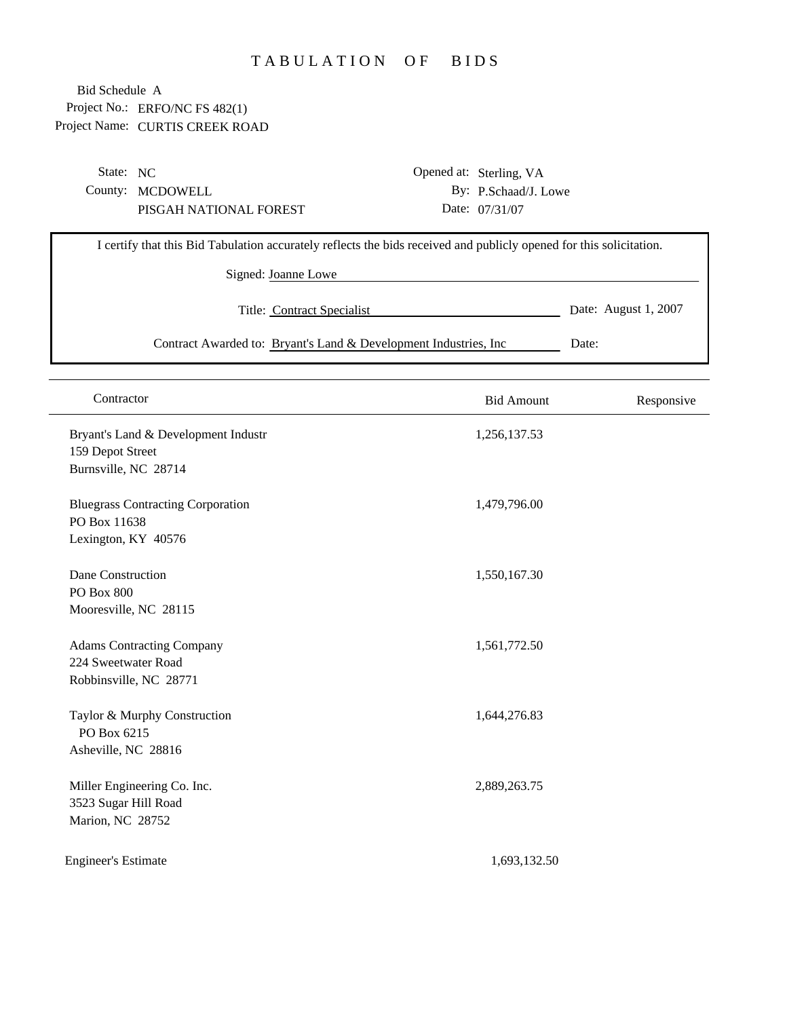## TABULATION OF BIDS

Project No.: ERFO/NC FS 482(1) Project Name: CURTIS CREEK ROAD Bid Schedule A

 $\overline{a}$ 

| By: P.Schaad/J. Lowe<br>County: MCDOWELL<br>Date: 07/31/07<br>PISGAH NATIONAL FOREST<br>I certify that this Bid Tabulation accurately reflects the bids received and publicly opened for this solicitation.<br>Signed: Joanne Lowe<br>Date: August 1, 2007<br>Title: Contract Specialist<br>Contract Awarded to: Bryant's Land & Development Industries, Inc<br>Date: | State: NC |  | Opened at: Sterling, VA |  |
|-----------------------------------------------------------------------------------------------------------------------------------------------------------------------------------------------------------------------------------------------------------------------------------------------------------------------------------------------------------------------|-----------|--|-------------------------|--|
|                                                                                                                                                                                                                                                                                                                                                                       |           |  |                         |  |
|                                                                                                                                                                                                                                                                                                                                                                       |           |  |                         |  |
|                                                                                                                                                                                                                                                                                                                                                                       |           |  |                         |  |
|                                                                                                                                                                                                                                                                                                                                                                       |           |  |                         |  |
|                                                                                                                                                                                                                                                                                                                                                                       |           |  |                         |  |
|                                                                                                                                                                                                                                                                                                                                                                       |           |  |                         |  |
|                                                                                                                                                                                                                                                                                                                                                                       |           |  |                         |  |

| Contractor                                                                        | <b>Bid Amount</b> | Responsive |
|-----------------------------------------------------------------------------------|-------------------|------------|
| Bryant's Land & Development Industr<br>159 Depot Street<br>Burnsville, NC 28714   | 1,256,137.53      |            |
| <b>Bluegrass Contracting Corporation</b><br>PO Box 11638<br>Lexington, KY 40576   | 1,479,796.00      |            |
| Dane Construction<br><b>PO Box 800</b><br>Mooresville, NC 28115                   | 1,550,167.30      |            |
| <b>Adams Contracting Company</b><br>224 Sweetwater Road<br>Robbinsville, NC 28771 | 1,561,772.50      |            |
| Taylor & Murphy Construction<br>PO Box 6215<br>Asheville, NC 28816                | 1,644,276.83      |            |
| Miller Engineering Co. Inc.<br>3523 Sugar Hill Road<br>Marion, NC 28752           | 2,889,263.75      |            |
| <b>Engineer's Estimate</b>                                                        | 1,693,132.50      |            |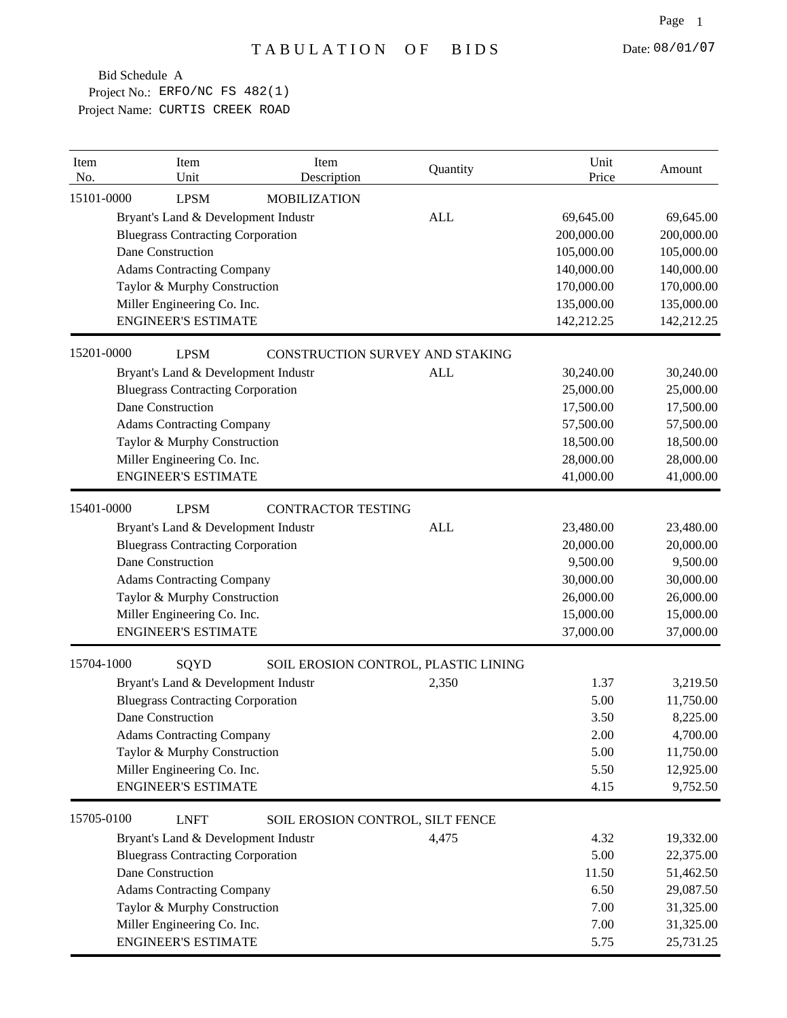| Item<br>No. | Item<br>Unit                             | Item<br>Description                  | Quantity   | Unit<br>Price | Amount     |
|-------------|------------------------------------------|--------------------------------------|------------|---------------|------------|
| 15101-0000  | <b>LPSM</b>                              | <b>MOBILIZATION</b>                  |            |               |            |
|             | Bryant's Land & Development Industr      |                                      | <b>ALL</b> | 69,645.00     | 69,645.00  |
|             | <b>Bluegrass Contracting Corporation</b> |                                      |            | 200,000.00    | 200,000.00 |
|             | Dane Construction                        |                                      |            | 105,000.00    | 105,000.00 |
|             | <b>Adams Contracting Company</b>         |                                      |            | 140,000.00    | 140,000.00 |
|             | Taylor & Murphy Construction             |                                      |            | 170,000.00    | 170,000.00 |
|             | Miller Engineering Co. Inc.              |                                      |            | 135,000.00    | 135,000.00 |
|             | <b>ENGINEER'S ESTIMATE</b>               |                                      |            | 142,212.25    | 142,212.25 |
| 15201-0000  | <b>LPSM</b>                              | CONSTRUCTION SURVEY AND STAKING      |            |               |            |
|             | Bryant's Land & Development Industr      |                                      | <b>ALL</b> | 30,240.00     | 30,240.00  |
|             | <b>Bluegrass Contracting Corporation</b> |                                      |            | 25,000.00     | 25,000.00  |
|             | Dane Construction                        |                                      |            | 17,500.00     | 17,500.00  |
|             | <b>Adams Contracting Company</b>         |                                      |            | 57,500.00     | 57,500.00  |
|             | Taylor & Murphy Construction             |                                      |            | 18,500.00     | 18,500.00  |
|             | Miller Engineering Co. Inc.              |                                      |            | 28,000.00     | 28,000.00  |
|             | <b>ENGINEER'S ESTIMATE</b>               |                                      |            | 41,000.00     | 41,000.00  |
| 15401-0000  | <b>LPSM</b>                              | <b>CONTRACTOR TESTING</b>            |            |               |            |
|             | Bryant's Land & Development Industr      |                                      | <b>ALL</b> | 23,480.00     | 23,480.00  |
|             | <b>Bluegrass Contracting Corporation</b> |                                      |            | 20,000.00     | 20,000.00  |
|             | Dane Construction                        |                                      |            | 9,500.00      | 9,500.00   |
|             | <b>Adams Contracting Company</b>         |                                      |            | 30,000.00     | 30,000.00  |
|             | Taylor & Murphy Construction             |                                      |            | 26,000.00     | 26,000.00  |
|             | Miller Engineering Co. Inc.              |                                      |            | 15,000.00     | 15,000.00  |
|             | <b>ENGINEER'S ESTIMATE</b>               |                                      |            | 37,000.00     | 37,000.00  |
| 15704-1000  | SQYD                                     | SOIL EROSION CONTROL, PLASTIC LINING |            |               |            |
|             | Bryant's Land & Development Industr      |                                      | 2,350      | 1.37          | 3,219.50   |
|             | <b>Bluegrass Contracting Corporation</b> |                                      |            | 5.00          | 11,750.00  |
|             | Dane Construction                        |                                      |            | 3.50          | 8,225.00   |
|             | <b>Adams Contracting Company</b>         |                                      |            | 2.00          | 4,700.00   |
|             | Taylor & Murphy Construction             |                                      |            | 5.00          | 11,750.00  |
|             | Miller Engineering Co. Inc.              |                                      |            | 5.50          | 12,925.00  |
|             | <b>ENGINEER'S ESTIMATE</b>               |                                      |            | 4.15          | 9,752.50   |
| 15705-0100  | <b>LNFT</b>                              | SOIL EROSION CONTROL, SILT FENCE     |            |               |            |
|             | Bryant's Land & Development Industr      |                                      | 4,475      | 4.32          | 19,332.00  |
|             | <b>Bluegrass Contracting Corporation</b> |                                      |            | 5.00          | 22,375.00  |
|             | Dane Construction                        |                                      |            | 11.50         | 51,462.50  |
|             | <b>Adams Contracting Company</b>         |                                      |            | 6.50          | 29,087.50  |
|             | Taylor & Murphy Construction             |                                      |            | 7.00          | 31,325.00  |
|             | Miller Engineering Co. Inc.              |                                      |            | 7.00          | 31,325.00  |
|             | <b>ENGINEER'S ESTIMATE</b>               |                                      |            | 5.75          | 25,731.25  |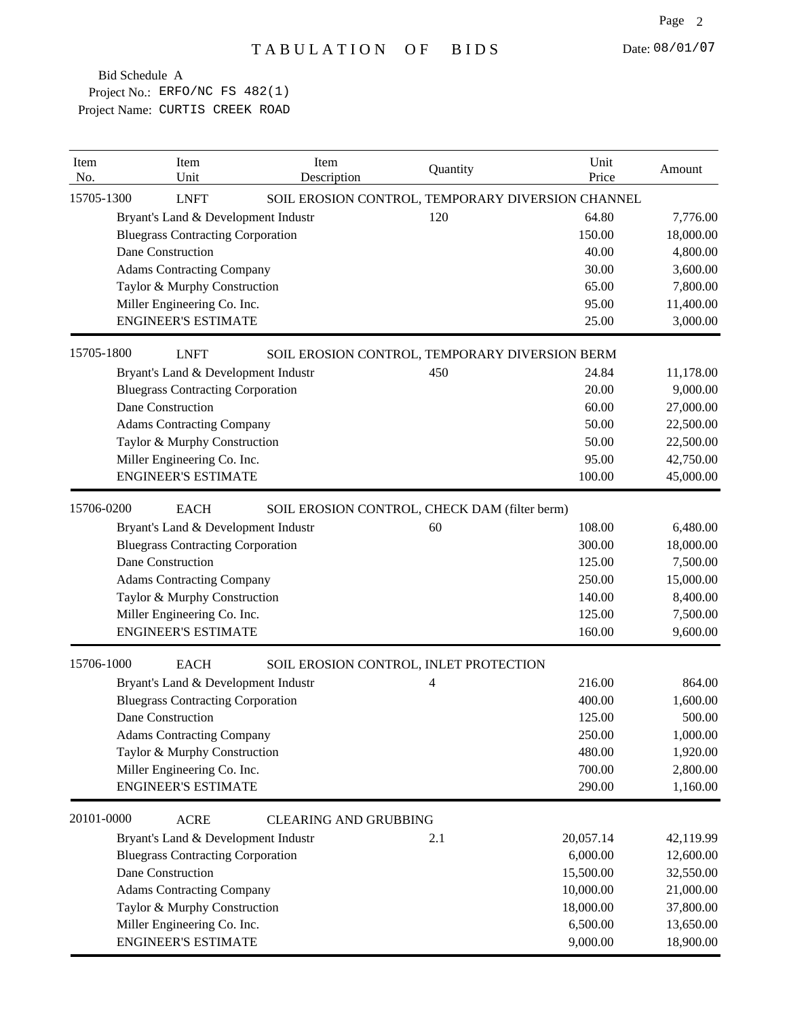| 15705-1300<br><b>LNFT</b><br>SOIL EROSION CONTROL, TEMPORARY DIVERSION CHANNEL<br>120<br>64.80<br>Bryant's Land & Development Industr<br>7,776.00<br><b>Bluegrass Contracting Corporation</b><br>150.00<br>18,000.00<br>Dane Construction<br>40.00<br>4,800.00<br><b>Adams Contracting Company</b><br>30.00<br>3,600.00<br>Taylor & Murphy Construction<br>65.00<br>7,800.00<br>Miller Engineering Co. Inc.<br>95.00<br>11,400.00<br><b>ENGINEER'S ESTIMATE</b><br>3,000.00<br>25.00<br>15705-1800<br>SOIL EROSION CONTROL, TEMPORARY DIVERSION BERM<br><b>LNFT</b><br>Bryant's Land & Development Industr<br>450<br>24.84<br>11,178.00<br><b>Bluegrass Contracting Corporation</b><br>20.00<br>9,000.00<br>Dane Construction<br>60.00<br>27,000.00<br><b>Adams Contracting Company</b><br>50.00<br>22,500.00<br>Taylor & Murphy Construction<br>50.00<br>22,500.00<br>Miller Engineering Co. Inc.<br>95.00<br>42,750.00<br><b>ENGINEER'S ESTIMATE</b><br>100.00<br>45,000.00<br>15706-0200<br><b>EACH</b><br>SOIL EROSION CONTROL, CHECK DAM (filter berm)<br>Bryant's Land & Development Industr<br>60<br>108.00<br>6,480.00<br><b>Bluegrass Contracting Corporation</b><br>300.00<br>18,000.00<br>Dane Construction<br>125.00<br>7,500.00<br>250.00<br>15,000.00<br><b>Adams Contracting Company</b><br>Taylor & Murphy Construction<br>140.00<br>8,400.00<br>Miller Engineering Co. Inc.<br>125.00<br>7,500.00<br><b>ENGINEER'S ESTIMATE</b><br>9,600.00<br>160.00<br>15706-1000<br><b>EACH</b><br>SOIL EROSION CONTROL, INLET PROTECTION<br>Bryant's Land & Development Industr<br>216.00<br>864.00<br>4<br><b>Bluegrass Contracting Corporation</b><br>400.00<br>1,600.00<br>Dane Construction<br>125.00<br>500.00<br>250.00<br>1,000.00<br><b>Adams Contracting Company</b><br>480.00<br>Taylor & Murphy Construction<br>1,920.00<br>700.00<br>Miller Engineering Co. Inc.<br>2,800.00<br><b>ENGINEER'S ESTIMATE</b><br>1,160.00<br>290.00<br>20101-0000<br><b>ACRE</b><br><b>CLEARING AND GRUBBING</b><br>Bryant's Land & Development Industr<br>20,057.14<br>42,119.99<br>2.1<br><b>Bluegrass Contracting Corporation</b><br>6,000.00<br>12,600.00<br>Dane Construction<br>15,500.00<br>32,550.00<br><b>Adams Contracting Company</b><br>10,000.00<br>21,000.00<br>Taylor & Murphy Construction<br>18,000.00<br>37,800.00<br>Miller Engineering Co. Inc.<br>6,500.00<br>13,650.00 | Item<br>No. | Item<br>Unit               | Item<br>Description | Quantity | Unit<br>Price | Amount    |
|--------------------------------------------------------------------------------------------------------------------------------------------------------------------------------------------------------------------------------------------------------------------------------------------------------------------------------------------------------------------------------------------------------------------------------------------------------------------------------------------------------------------------------------------------------------------------------------------------------------------------------------------------------------------------------------------------------------------------------------------------------------------------------------------------------------------------------------------------------------------------------------------------------------------------------------------------------------------------------------------------------------------------------------------------------------------------------------------------------------------------------------------------------------------------------------------------------------------------------------------------------------------------------------------------------------------------------------------------------------------------------------------------------------------------------------------------------------------------------------------------------------------------------------------------------------------------------------------------------------------------------------------------------------------------------------------------------------------------------------------------------------------------------------------------------------------------------------------------------------------------------------------------------------------------------------------------------------------------------------------------------------------------------------------------------------------------------------------------------------------------------------------------------------------------------------------------------------------------------------------------------------------------------------------------------------------------------------------------------------------------------------------|-------------|----------------------------|---------------------|----------|---------------|-----------|
|                                                                                                                                                                                                                                                                                                                                                                                                                                                                                                                                                                                                                                                                                                                                                                                                                                                                                                                                                                                                                                                                                                                                                                                                                                                                                                                                                                                                                                                                                                                                                                                                                                                                                                                                                                                                                                                                                                                                                                                                                                                                                                                                                                                                                                                                                                                                                                                            |             |                            |                     |          |               |           |
|                                                                                                                                                                                                                                                                                                                                                                                                                                                                                                                                                                                                                                                                                                                                                                                                                                                                                                                                                                                                                                                                                                                                                                                                                                                                                                                                                                                                                                                                                                                                                                                                                                                                                                                                                                                                                                                                                                                                                                                                                                                                                                                                                                                                                                                                                                                                                                                            |             |                            |                     |          |               |           |
|                                                                                                                                                                                                                                                                                                                                                                                                                                                                                                                                                                                                                                                                                                                                                                                                                                                                                                                                                                                                                                                                                                                                                                                                                                                                                                                                                                                                                                                                                                                                                                                                                                                                                                                                                                                                                                                                                                                                                                                                                                                                                                                                                                                                                                                                                                                                                                                            |             |                            |                     |          |               |           |
|                                                                                                                                                                                                                                                                                                                                                                                                                                                                                                                                                                                                                                                                                                                                                                                                                                                                                                                                                                                                                                                                                                                                                                                                                                                                                                                                                                                                                                                                                                                                                                                                                                                                                                                                                                                                                                                                                                                                                                                                                                                                                                                                                                                                                                                                                                                                                                                            |             |                            |                     |          |               |           |
|                                                                                                                                                                                                                                                                                                                                                                                                                                                                                                                                                                                                                                                                                                                                                                                                                                                                                                                                                                                                                                                                                                                                                                                                                                                                                                                                                                                                                                                                                                                                                                                                                                                                                                                                                                                                                                                                                                                                                                                                                                                                                                                                                                                                                                                                                                                                                                                            |             |                            |                     |          |               |           |
|                                                                                                                                                                                                                                                                                                                                                                                                                                                                                                                                                                                                                                                                                                                                                                                                                                                                                                                                                                                                                                                                                                                                                                                                                                                                                                                                                                                                                                                                                                                                                                                                                                                                                                                                                                                                                                                                                                                                                                                                                                                                                                                                                                                                                                                                                                                                                                                            |             |                            |                     |          |               |           |
|                                                                                                                                                                                                                                                                                                                                                                                                                                                                                                                                                                                                                                                                                                                                                                                                                                                                                                                                                                                                                                                                                                                                                                                                                                                                                                                                                                                                                                                                                                                                                                                                                                                                                                                                                                                                                                                                                                                                                                                                                                                                                                                                                                                                                                                                                                                                                                                            |             |                            |                     |          |               |           |
|                                                                                                                                                                                                                                                                                                                                                                                                                                                                                                                                                                                                                                                                                                                                                                                                                                                                                                                                                                                                                                                                                                                                                                                                                                                                                                                                                                                                                                                                                                                                                                                                                                                                                                                                                                                                                                                                                                                                                                                                                                                                                                                                                                                                                                                                                                                                                                                            |             |                            |                     |          |               |           |
|                                                                                                                                                                                                                                                                                                                                                                                                                                                                                                                                                                                                                                                                                                                                                                                                                                                                                                                                                                                                                                                                                                                                                                                                                                                                                                                                                                                                                                                                                                                                                                                                                                                                                                                                                                                                                                                                                                                                                                                                                                                                                                                                                                                                                                                                                                                                                                                            |             |                            |                     |          |               |           |
|                                                                                                                                                                                                                                                                                                                                                                                                                                                                                                                                                                                                                                                                                                                                                                                                                                                                                                                                                                                                                                                                                                                                                                                                                                                                                                                                                                                                                                                                                                                                                                                                                                                                                                                                                                                                                                                                                                                                                                                                                                                                                                                                                                                                                                                                                                                                                                                            |             |                            |                     |          |               |           |
|                                                                                                                                                                                                                                                                                                                                                                                                                                                                                                                                                                                                                                                                                                                                                                                                                                                                                                                                                                                                                                                                                                                                                                                                                                                                                                                                                                                                                                                                                                                                                                                                                                                                                                                                                                                                                                                                                                                                                                                                                                                                                                                                                                                                                                                                                                                                                                                            |             |                            |                     |          |               |           |
|                                                                                                                                                                                                                                                                                                                                                                                                                                                                                                                                                                                                                                                                                                                                                                                                                                                                                                                                                                                                                                                                                                                                                                                                                                                                                                                                                                                                                                                                                                                                                                                                                                                                                                                                                                                                                                                                                                                                                                                                                                                                                                                                                                                                                                                                                                                                                                                            |             |                            |                     |          |               |           |
|                                                                                                                                                                                                                                                                                                                                                                                                                                                                                                                                                                                                                                                                                                                                                                                                                                                                                                                                                                                                                                                                                                                                                                                                                                                                                                                                                                                                                                                                                                                                                                                                                                                                                                                                                                                                                                                                                                                                                                                                                                                                                                                                                                                                                                                                                                                                                                                            |             |                            |                     |          |               |           |
|                                                                                                                                                                                                                                                                                                                                                                                                                                                                                                                                                                                                                                                                                                                                                                                                                                                                                                                                                                                                                                                                                                                                                                                                                                                                                                                                                                                                                                                                                                                                                                                                                                                                                                                                                                                                                                                                                                                                                                                                                                                                                                                                                                                                                                                                                                                                                                                            |             |                            |                     |          |               |           |
|                                                                                                                                                                                                                                                                                                                                                                                                                                                                                                                                                                                                                                                                                                                                                                                                                                                                                                                                                                                                                                                                                                                                                                                                                                                                                                                                                                                                                                                                                                                                                                                                                                                                                                                                                                                                                                                                                                                                                                                                                                                                                                                                                                                                                                                                                                                                                                                            |             |                            |                     |          |               |           |
|                                                                                                                                                                                                                                                                                                                                                                                                                                                                                                                                                                                                                                                                                                                                                                                                                                                                                                                                                                                                                                                                                                                                                                                                                                                                                                                                                                                                                                                                                                                                                                                                                                                                                                                                                                                                                                                                                                                                                                                                                                                                                                                                                                                                                                                                                                                                                                                            |             |                            |                     |          |               |           |
|                                                                                                                                                                                                                                                                                                                                                                                                                                                                                                                                                                                                                                                                                                                                                                                                                                                                                                                                                                                                                                                                                                                                                                                                                                                                                                                                                                                                                                                                                                                                                                                                                                                                                                                                                                                                                                                                                                                                                                                                                                                                                                                                                                                                                                                                                                                                                                                            |             |                            |                     |          |               |           |
|                                                                                                                                                                                                                                                                                                                                                                                                                                                                                                                                                                                                                                                                                                                                                                                                                                                                                                                                                                                                                                                                                                                                                                                                                                                                                                                                                                                                                                                                                                                                                                                                                                                                                                                                                                                                                                                                                                                                                                                                                                                                                                                                                                                                                                                                                                                                                                                            |             |                            |                     |          |               |           |
|                                                                                                                                                                                                                                                                                                                                                                                                                                                                                                                                                                                                                                                                                                                                                                                                                                                                                                                                                                                                                                                                                                                                                                                                                                                                                                                                                                                                                                                                                                                                                                                                                                                                                                                                                                                                                                                                                                                                                                                                                                                                                                                                                                                                                                                                                                                                                                                            |             |                            |                     |          |               |           |
|                                                                                                                                                                                                                                                                                                                                                                                                                                                                                                                                                                                                                                                                                                                                                                                                                                                                                                                                                                                                                                                                                                                                                                                                                                                                                                                                                                                                                                                                                                                                                                                                                                                                                                                                                                                                                                                                                                                                                                                                                                                                                                                                                                                                                                                                                                                                                                                            |             |                            |                     |          |               |           |
|                                                                                                                                                                                                                                                                                                                                                                                                                                                                                                                                                                                                                                                                                                                                                                                                                                                                                                                                                                                                                                                                                                                                                                                                                                                                                                                                                                                                                                                                                                                                                                                                                                                                                                                                                                                                                                                                                                                                                                                                                                                                                                                                                                                                                                                                                                                                                                                            |             |                            |                     |          |               |           |
|                                                                                                                                                                                                                                                                                                                                                                                                                                                                                                                                                                                                                                                                                                                                                                                                                                                                                                                                                                                                                                                                                                                                                                                                                                                                                                                                                                                                                                                                                                                                                                                                                                                                                                                                                                                                                                                                                                                                                                                                                                                                                                                                                                                                                                                                                                                                                                                            |             |                            |                     |          |               |           |
|                                                                                                                                                                                                                                                                                                                                                                                                                                                                                                                                                                                                                                                                                                                                                                                                                                                                                                                                                                                                                                                                                                                                                                                                                                                                                                                                                                                                                                                                                                                                                                                                                                                                                                                                                                                                                                                                                                                                                                                                                                                                                                                                                                                                                                                                                                                                                                                            |             |                            |                     |          |               |           |
|                                                                                                                                                                                                                                                                                                                                                                                                                                                                                                                                                                                                                                                                                                                                                                                                                                                                                                                                                                                                                                                                                                                                                                                                                                                                                                                                                                                                                                                                                                                                                                                                                                                                                                                                                                                                                                                                                                                                                                                                                                                                                                                                                                                                                                                                                                                                                                                            |             |                            |                     |          |               |           |
|                                                                                                                                                                                                                                                                                                                                                                                                                                                                                                                                                                                                                                                                                                                                                                                                                                                                                                                                                                                                                                                                                                                                                                                                                                                                                                                                                                                                                                                                                                                                                                                                                                                                                                                                                                                                                                                                                                                                                                                                                                                                                                                                                                                                                                                                                                                                                                                            |             |                            |                     |          |               |           |
|                                                                                                                                                                                                                                                                                                                                                                                                                                                                                                                                                                                                                                                                                                                                                                                                                                                                                                                                                                                                                                                                                                                                                                                                                                                                                                                                                                                                                                                                                                                                                                                                                                                                                                                                                                                                                                                                                                                                                                                                                                                                                                                                                                                                                                                                                                                                                                                            |             |                            |                     |          |               |           |
|                                                                                                                                                                                                                                                                                                                                                                                                                                                                                                                                                                                                                                                                                                                                                                                                                                                                                                                                                                                                                                                                                                                                                                                                                                                                                                                                                                                                                                                                                                                                                                                                                                                                                                                                                                                                                                                                                                                                                                                                                                                                                                                                                                                                                                                                                                                                                                                            |             |                            |                     |          |               |           |
|                                                                                                                                                                                                                                                                                                                                                                                                                                                                                                                                                                                                                                                                                                                                                                                                                                                                                                                                                                                                                                                                                                                                                                                                                                                                                                                                                                                                                                                                                                                                                                                                                                                                                                                                                                                                                                                                                                                                                                                                                                                                                                                                                                                                                                                                                                                                                                                            |             |                            |                     |          |               |           |
|                                                                                                                                                                                                                                                                                                                                                                                                                                                                                                                                                                                                                                                                                                                                                                                                                                                                                                                                                                                                                                                                                                                                                                                                                                                                                                                                                                                                                                                                                                                                                                                                                                                                                                                                                                                                                                                                                                                                                                                                                                                                                                                                                                                                                                                                                                                                                                                            |             |                            |                     |          |               |           |
|                                                                                                                                                                                                                                                                                                                                                                                                                                                                                                                                                                                                                                                                                                                                                                                                                                                                                                                                                                                                                                                                                                                                                                                                                                                                                                                                                                                                                                                                                                                                                                                                                                                                                                                                                                                                                                                                                                                                                                                                                                                                                                                                                                                                                                                                                                                                                                                            |             |                            |                     |          |               |           |
|                                                                                                                                                                                                                                                                                                                                                                                                                                                                                                                                                                                                                                                                                                                                                                                                                                                                                                                                                                                                                                                                                                                                                                                                                                                                                                                                                                                                                                                                                                                                                                                                                                                                                                                                                                                                                                                                                                                                                                                                                                                                                                                                                                                                                                                                                                                                                                                            |             |                            |                     |          |               |           |
|                                                                                                                                                                                                                                                                                                                                                                                                                                                                                                                                                                                                                                                                                                                                                                                                                                                                                                                                                                                                                                                                                                                                                                                                                                                                                                                                                                                                                                                                                                                                                                                                                                                                                                                                                                                                                                                                                                                                                                                                                                                                                                                                                                                                                                                                                                                                                                                            |             |                            |                     |          |               |           |
|                                                                                                                                                                                                                                                                                                                                                                                                                                                                                                                                                                                                                                                                                                                                                                                                                                                                                                                                                                                                                                                                                                                                                                                                                                                                                                                                                                                                                                                                                                                                                                                                                                                                                                                                                                                                                                                                                                                                                                                                                                                                                                                                                                                                                                                                                                                                                                                            |             |                            |                     |          |               |           |
|                                                                                                                                                                                                                                                                                                                                                                                                                                                                                                                                                                                                                                                                                                                                                                                                                                                                                                                                                                                                                                                                                                                                                                                                                                                                                                                                                                                                                                                                                                                                                                                                                                                                                                                                                                                                                                                                                                                                                                                                                                                                                                                                                                                                                                                                                                                                                                                            |             |                            |                     |          |               |           |
|                                                                                                                                                                                                                                                                                                                                                                                                                                                                                                                                                                                                                                                                                                                                                                                                                                                                                                                                                                                                                                                                                                                                                                                                                                                                                                                                                                                                                                                                                                                                                                                                                                                                                                                                                                                                                                                                                                                                                                                                                                                                                                                                                                                                                                                                                                                                                                                            |             |                            |                     |          |               |           |
|                                                                                                                                                                                                                                                                                                                                                                                                                                                                                                                                                                                                                                                                                                                                                                                                                                                                                                                                                                                                                                                                                                                                                                                                                                                                                                                                                                                                                                                                                                                                                                                                                                                                                                                                                                                                                                                                                                                                                                                                                                                                                                                                                                                                                                                                                                                                                                                            |             |                            |                     |          |               |           |
|                                                                                                                                                                                                                                                                                                                                                                                                                                                                                                                                                                                                                                                                                                                                                                                                                                                                                                                                                                                                                                                                                                                                                                                                                                                                                                                                                                                                                                                                                                                                                                                                                                                                                                                                                                                                                                                                                                                                                                                                                                                                                                                                                                                                                                                                                                                                                                                            |             |                            |                     |          |               |           |
|                                                                                                                                                                                                                                                                                                                                                                                                                                                                                                                                                                                                                                                                                                                                                                                                                                                                                                                                                                                                                                                                                                                                                                                                                                                                                                                                                                                                                                                                                                                                                                                                                                                                                                                                                                                                                                                                                                                                                                                                                                                                                                                                                                                                                                                                                                                                                                                            |             |                            |                     |          |               |           |
|                                                                                                                                                                                                                                                                                                                                                                                                                                                                                                                                                                                                                                                                                                                                                                                                                                                                                                                                                                                                                                                                                                                                                                                                                                                                                                                                                                                                                                                                                                                                                                                                                                                                                                                                                                                                                                                                                                                                                                                                                                                                                                                                                                                                                                                                                                                                                                                            |             |                            |                     |          |               |           |
|                                                                                                                                                                                                                                                                                                                                                                                                                                                                                                                                                                                                                                                                                                                                                                                                                                                                                                                                                                                                                                                                                                                                                                                                                                                                                                                                                                                                                                                                                                                                                                                                                                                                                                                                                                                                                                                                                                                                                                                                                                                                                                                                                                                                                                                                                                                                                                                            |             | <b>ENGINEER'S ESTIMATE</b> |                     |          | 9,000.00      | 18,900.00 |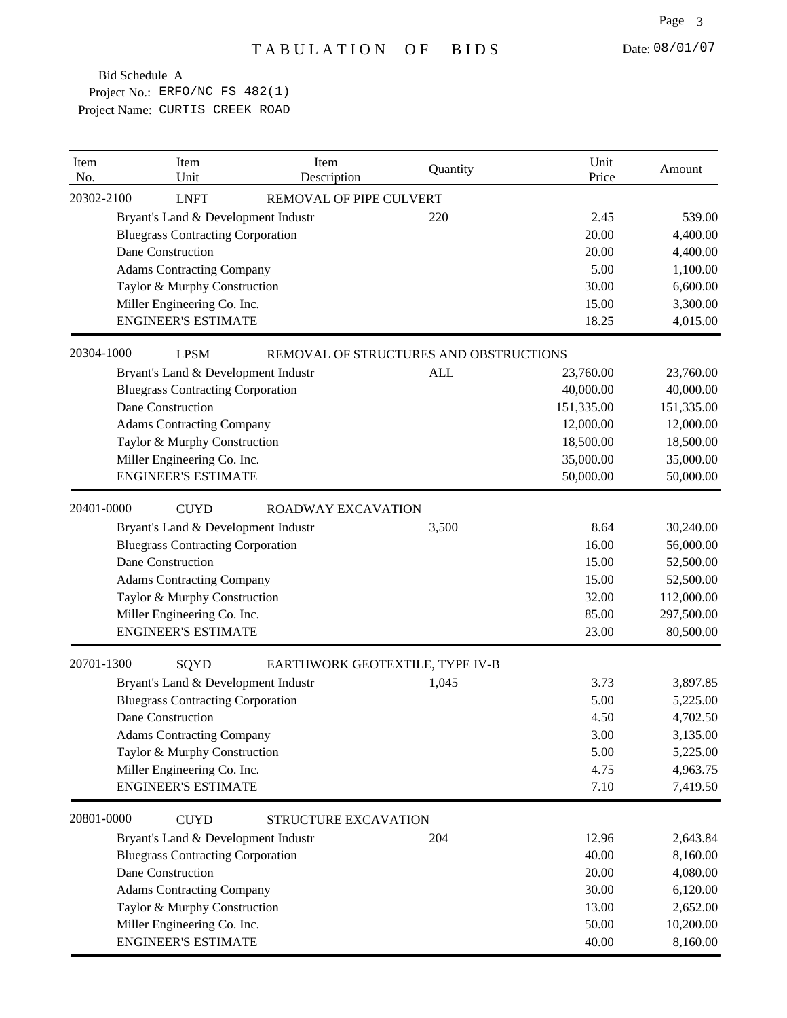| Item<br>No. | Item<br>Unit                             | Item<br>Description       | Quantity                               | Unit<br>Price | Amount     |
|-------------|------------------------------------------|---------------------------|----------------------------------------|---------------|------------|
| 20302-2100  | <b>LNFT</b>                              | REMOVAL OF PIPE CULVERT   |                                        |               |            |
|             | Bryant's Land & Development Industr      |                           | 220                                    | 2.45          | 539.00     |
|             | <b>Bluegrass Contracting Corporation</b> |                           |                                        | 20.00         | 4,400.00   |
|             | Dane Construction                        |                           |                                        | 20.00         | 4,400.00   |
|             | <b>Adams Contracting Company</b>         |                           |                                        | 5.00          | 1,100.00   |
|             | Taylor & Murphy Construction             |                           |                                        | 30.00         | 6,600.00   |
|             | Miller Engineering Co. Inc.              |                           |                                        | 15.00         | 3,300.00   |
|             | <b>ENGINEER'S ESTIMATE</b>               |                           |                                        | 18.25         | 4,015.00   |
| 20304-1000  | <b>LPSM</b>                              |                           | REMOVAL OF STRUCTURES AND OBSTRUCTIONS |               |            |
|             | Bryant's Land & Development Industr      |                           | ALL                                    | 23,760.00     | 23,760.00  |
|             | <b>Bluegrass Contracting Corporation</b> |                           |                                        | 40,000.00     | 40,000.00  |
|             | Dane Construction                        |                           |                                        | 151,335.00    | 151,335.00 |
|             | <b>Adams Contracting Company</b>         |                           |                                        | 12,000.00     | 12,000.00  |
|             | Taylor & Murphy Construction             |                           |                                        | 18,500.00     | 18,500.00  |
|             | Miller Engineering Co. Inc.              |                           |                                        | 35,000.00     | 35,000.00  |
|             | <b>ENGINEER'S ESTIMATE</b>               |                           |                                        | 50,000.00     | 50,000.00  |
| 20401-0000  | <b>CUYD</b>                              | <b>ROADWAY EXCAVATION</b> |                                        |               |            |
|             | Bryant's Land & Development Industr      |                           | 3,500                                  | 8.64          | 30,240.00  |
|             | <b>Bluegrass Contracting Corporation</b> |                           |                                        | 16.00         | 56,000.00  |
|             | Dane Construction                        |                           |                                        | 15.00         | 52,500.00  |
|             | <b>Adams Contracting Company</b>         |                           |                                        | 15.00         | 52,500.00  |
|             | Taylor & Murphy Construction             |                           |                                        | 32.00         | 112,000.00 |
|             | Miller Engineering Co. Inc.              |                           |                                        | 85.00         | 297,500.00 |
|             | <b>ENGINEER'S ESTIMATE</b>               |                           |                                        | 23.00         | 80,500.00  |
| 20701-1300  | SQYD                                     |                           | EARTHWORK GEOTEXTILE, TYPE IV-B        |               |            |
|             | Bryant's Land & Development Industr      |                           | 1,045                                  | 3.73          | 3,897.85   |
|             | <b>Bluegrass Contracting Corporation</b> |                           |                                        | 5.00          | 5,225.00   |
|             | Dane Construction                        |                           |                                        | 4.50          | 4,702.50   |
|             | <b>Adams Contracting Company</b>         |                           |                                        | 3.00          | 3,135.00   |
|             | Taylor & Murphy Construction             |                           |                                        | 5.00          | 5,225.00   |
|             | Miller Engineering Co. Inc.              |                           |                                        | 4.75          | 4,963.75   |
|             | <b>ENGINEER'S ESTIMATE</b>               |                           |                                        | 7.10          | 7,419.50   |
| 20801-0000  | <b>CUYD</b>                              | STRUCTURE EXCAVATION      |                                        |               |            |
|             | Bryant's Land & Development Industr      |                           | 204                                    | 12.96         | 2,643.84   |
|             | <b>Bluegrass Contracting Corporation</b> |                           |                                        | 40.00         | 8,160.00   |
|             | Dane Construction                        |                           |                                        | 20.00         | 4,080.00   |
|             | <b>Adams Contracting Company</b>         |                           |                                        | 30.00         | 6,120.00   |
|             | Taylor & Murphy Construction             |                           |                                        | 13.00         | 2,652.00   |
|             | Miller Engineering Co. Inc.              |                           |                                        | 50.00         | 10,200.00  |
|             | <b>ENGINEER'S ESTIMATE</b>               |                           |                                        | 40.00         | 8,160.00   |
|             |                                          |                           |                                        |               |            |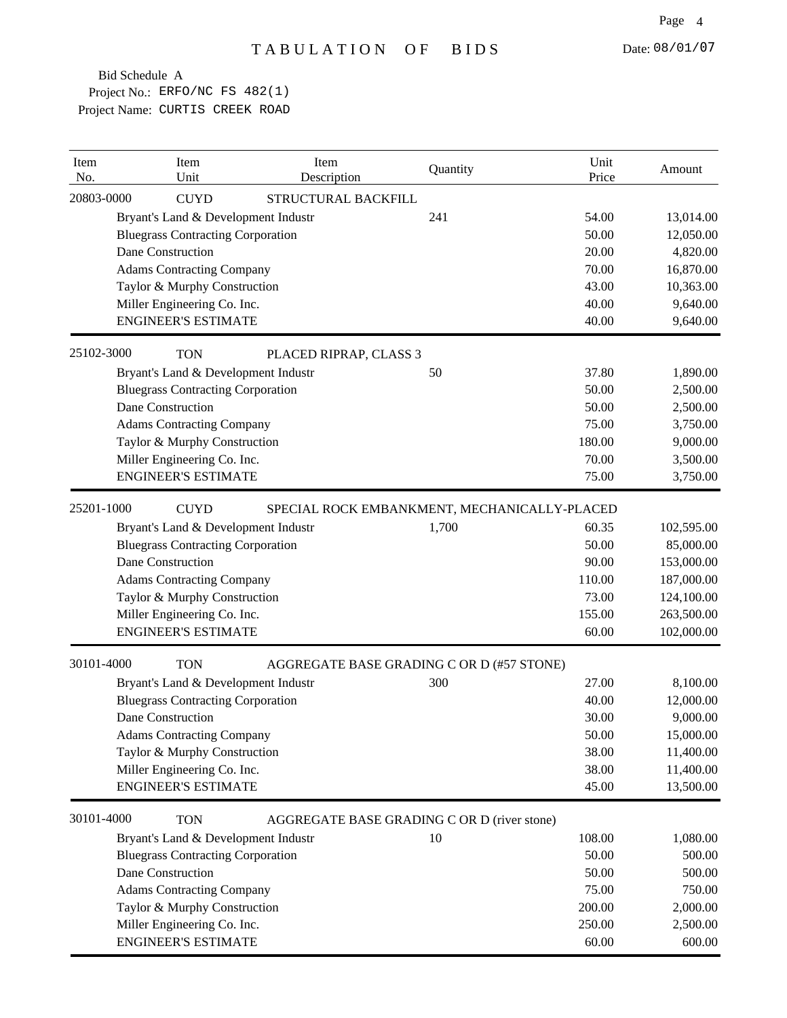| Item<br>No. | Item<br>Unit                             | Item<br>Description    | Quantity                                     | Unit<br>Price | Amount     |
|-------------|------------------------------------------|------------------------|----------------------------------------------|---------------|------------|
| 20803-0000  | <b>CUYD</b>                              | STRUCTURAL BACKFILL    |                                              |               |            |
|             | Bryant's Land & Development Industr      |                        | 241                                          | 54.00         | 13,014.00  |
|             | <b>Bluegrass Contracting Corporation</b> |                        |                                              | 50.00         | 12,050.00  |
|             | Dane Construction                        |                        |                                              | 20.00         | 4,820.00   |
|             | <b>Adams Contracting Company</b>         |                        |                                              | 70.00         | 16,870.00  |
|             | Taylor & Murphy Construction             |                        |                                              | 43.00         | 10,363.00  |
|             | Miller Engineering Co. Inc.              |                        |                                              | 40.00         | 9,640.00   |
|             | <b>ENGINEER'S ESTIMATE</b>               |                        |                                              | 40.00         | 9,640.00   |
| 25102-3000  | <b>TON</b>                               | PLACED RIPRAP, CLASS 3 |                                              |               |            |
|             | Bryant's Land & Development Industr      |                        | 50                                           | 37.80         | 1,890.00   |
|             | <b>Bluegrass Contracting Corporation</b> |                        |                                              | 50.00         | 2,500.00   |
|             | Dane Construction                        |                        |                                              | 50.00         | 2,500.00   |
|             | <b>Adams Contracting Company</b>         |                        |                                              | 75.00         | 3,750.00   |
|             | Taylor & Murphy Construction             |                        |                                              | 180.00        | 9,000.00   |
|             | Miller Engineering Co. Inc.              |                        |                                              | 70.00         | 3,500.00   |
|             | <b>ENGINEER'S ESTIMATE</b>               |                        |                                              | 75.00         | 3,750.00   |
| 25201-1000  | <b>CUYD</b>                              |                        | SPECIAL ROCK EMBANKMENT, MECHANICALLY-PLACED |               |            |
|             | Bryant's Land & Development Industr      |                        | 1,700                                        | 60.35         | 102,595.00 |
|             | <b>Bluegrass Contracting Corporation</b> |                        |                                              | 50.00         | 85,000.00  |
|             | Dane Construction                        |                        |                                              | 90.00         | 153,000.00 |
|             | <b>Adams Contracting Company</b>         |                        |                                              | 110.00        | 187,000.00 |
|             | Taylor & Murphy Construction             |                        |                                              | 73.00         | 124,100.00 |
|             | Miller Engineering Co. Inc.              |                        |                                              | 155.00        | 263,500.00 |
|             | <b>ENGINEER'S ESTIMATE</b>               |                        |                                              | 60.00         | 102,000.00 |
| 30101-4000  | <b>TON</b>                               |                        | AGGREGATE BASE GRADING C OR D (#57 STONE)    |               |            |
|             | Bryant's Land & Development Industr      |                        | 300                                          | 27.00         | 8,100.00   |
|             | <b>Bluegrass Contracting Corporation</b> |                        |                                              | 40.00         | 12,000.00  |
|             | Dane Construction                        |                        |                                              | 30.00         | 9,000.00   |
|             | <b>Adams Contracting Company</b>         |                        |                                              | 50.00         | 15,000.00  |
|             | Taylor & Murphy Construction             |                        |                                              | 38.00         | 11,400.00  |
|             | Miller Engineering Co. Inc.              |                        |                                              | 38.00         | 11,400.00  |
|             | <b>ENGINEER'S ESTIMATE</b>               |                        |                                              | 45.00         | 13,500.00  |
| 30101-4000  | <b>TON</b>                               |                        | AGGREGATE BASE GRADING C OR D (river stone)  |               |            |
|             | Bryant's Land & Development Industr      |                        | 10                                           | 108.00        | 1,080.00   |
|             | <b>Bluegrass Contracting Corporation</b> |                        |                                              | 50.00         | 500.00     |
|             | Dane Construction                        |                        |                                              | 50.00         | 500.00     |
|             | <b>Adams Contracting Company</b>         |                        |                                              | 75.00         | 750.00     |
|             | Taylor & Murphy Construction             |                        |                                              | 200.00        | 2,000.00   |
|             | Miller Engineering Co. Inc.              |                        |                                              | 250.00        | 2,500.00   |
|             | <b>ENGINEER'S ESTIMATE</b>               |                        |                                              | 60.00         | 600.00     |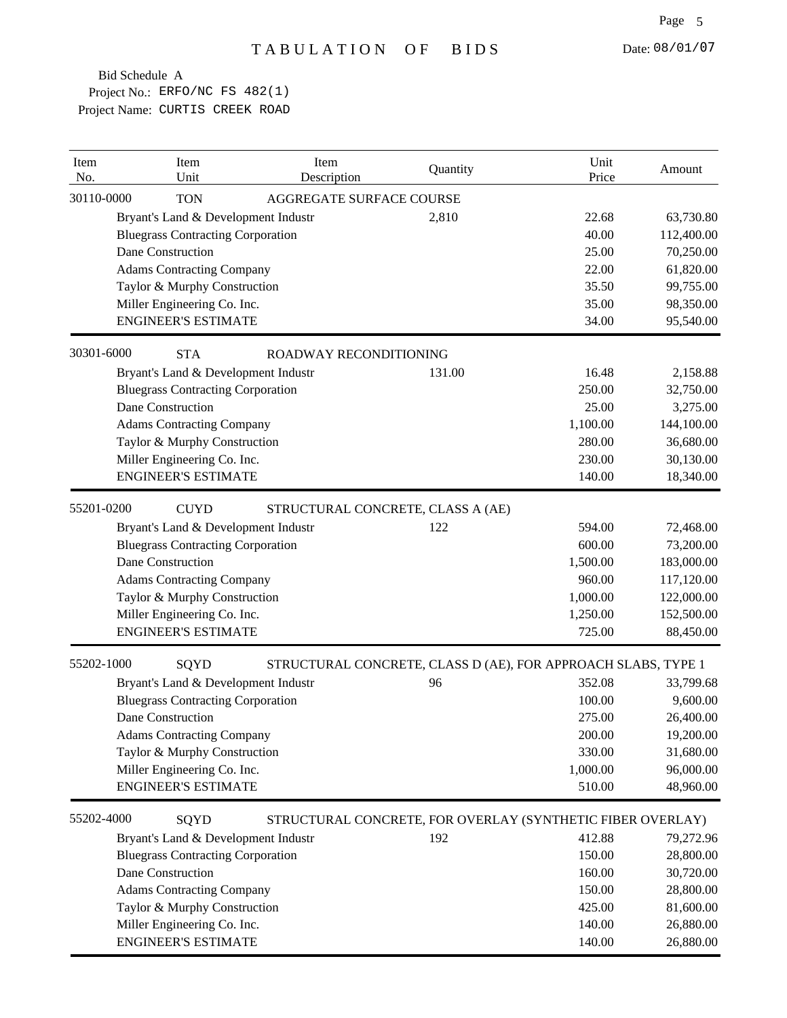| Item<br>No. | Item<br>Unit                             | Item<br>Description                                           | Quantity | Unit<br>Price | Amount     |
|-------------|------------------------------------------|---------------------------------------------------------------|----------|---------------|------------|
| 30110-0000  | <b>TON</b>                               | AGGREGATE SURFACE COURSE                                      |          |               |            |
|             | Bryant's Land & Development Industr      |                                                               | 2,810    | 22.68         | 63,730.80  |
|             | <b>Bluegrass Contracting Corporation</b> |                                                               |          | 40.00         | 112,400.00 |
|             | Dane Construction                        |                                                               |          | 25.00         | 70,250.00  |
|             | <b>Adams Contracting Company</b>         |                                                               |          | 22.00         | 61,820.00  |
|             | Taylor & Murphy Construction             |                                                               |          | 35.50         | 99,755.00  |
|             | Miller Engineering Co. Inc.              |                                                               |          | 35.00         | 98,350.00  |
|             | <b>ENGINEER'S ESTIMATE</b>               |                                                               |          | 34.00         | 95,540.00  |
| 30301-6000  | <b>STA</b>                               | ROADWAY RECONDITIONING                                        |          |               |            |
|             | Bryant's Land & Development Industr      |                                                               | 131.00   | 16.48         | 2,158.88   |
|             | <b>Bluegrass Contracting Corporation</b> |                                                               |          | 250.00        | 32,750.00  |
|             | Dane Construction                        |                                                               |          | 25.00         | 3,275.00   |
|             | <b>Adams Contracting Company</b>         |                                                               |          | 1,100.00      | 144,100.00 |
|             | Taylor & Murphy Construction             |                                                               |          | 280.00        | 36,680.00  |
|             | Miller Engineering Co. Inc.              |                                                               |          | 230.00        | 30,130.00  |
|             | <b>ENGINEER'S ESTIMATE</b>               |                                                               |          | 140.00        | 18,340.00  |
| 55201-0200  | <b>CUYD</b>                              | STRUCTURAL CONCRETE, CLASS A (AE)                             |          |               |            |
|             | Bryant's Land & Development Industr      |                                                               | 122      | 594.00        | 72,468.00  |
|             | <b>Bluegrass Contracting Corporation</b> |                                                               |          | 600.00        | 73,200.00  |
|             | Dane Construction                        |                                                               |          | 1,500.00      | 183,000.00 |
|             | <b>Adams Contracting Company</b>         |                                                               |          | 960.00        | 117,120.00 |
|             | Taylor & Murphy Construction             |                                                               |          | 1,000.00      | 122,000.00 |
|             | Miller Engineering Co. Inc.              |                                                               |          | 1,250.00      | 152,500.00 |
|             | <b>ENGINEER'S ESTIMATE</b>               |                                                               |          | 725.00        | 88,450.00  |
| 55202-1000  | SQYD                                     | STRUCTURAL CONCRETE, CLASS D (AE), FOR APPROACH SLABS, TYPE 1 |          |               |            |
|             | Bryant's Land & Development Industr      |                                                               | 96       | 352.08        | 33,799.68  |
|             | <b>Bluegrass Contracting Corporation</b> |                                                               |          | 100.00        | 9,600.00   |
|             | Dane Construction                        |                                                               |          | 275.00        | 26,400.00  |
|             | <b>Adams Contracting Company</b>         |                                                               |          | 200.00        | 19,200.00  |
|             | Taylor & Murphy Construction             |                                                               |          | 330.00        | 31,680.00  |
|             | Miller Engineering Co. Inc.              |                                                               |          | 1,000.00      | 96,000.00  |
|             | <b>ENGINEER'S ESTIMATE</b>               |                                                               |          | 510.00        | 48,960.00  |
| 55202-4000  | SQYD                                     | STRUCTURAL CONCRETE, FOR OVERLAY (SYNTHETIC FIBER OVERLAY)    |          |               |            |
|             | Bryant's Land & Development Industr      |                                                               | 192      | 412.88        | 79,272.96  |
|             | <b>Bluegrass Contracting Corporation</b> |                                                               |          | 150.00        | 28,800.00  |
|             | Dane Construction                        |                                                               |          | 160.00        | 30,720.00  |
|             | <b>Adams Contracting Company</b>         |                                                               |          | 150.00        | 28,800.00  |
|             | Taylor & Murphy Construction             |                                                               |          | 425.00        | 81,600.00  |
|             | Miller Engineering Co. Inc.              |                                                               |          | 140.00        | 26,880.00  |
|             | <b>ENGINEER'S ESTIMATE</b>               |                                                               |          | 140.00        | 26,880.00  |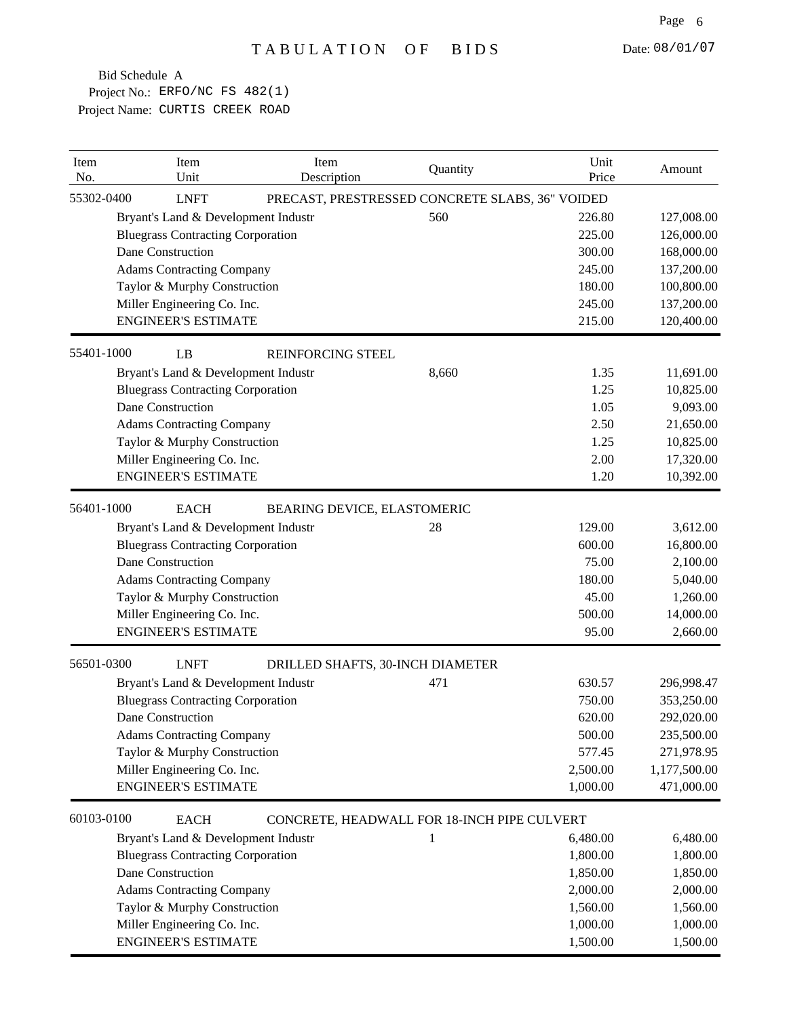| Item<br>No. | Item<br>Unit                             | Item<br>Description              | Quantity                                        | Unit<br>Price | Amount       |
|-------------|------------------------------------------|----------------------------------|-------------------------------------------------|---------------|--------------|
| 55302-0400  | <b>LNFT</b>                              |                                  | PRECAST, PRESTRESSED CONCRETE SLABS, 36" VOIDED |               |              |
|             | Bryant's Land & Development Industr      |                                  | 560                                             | 226.80        | 127,008.00   |
|             | <b>Bluegrass Contracting Corporation</b> |                                  |                                                 | 225.00        | 126,000.00   |
|             | Dane Construction                        |                                  |                                                 | 300.00        | 168,000.00   |
|             | <b>Adams Contracting Company</b>         |                                  |                                                 | 245.00        | 137,200.00   |
|             | Taylor & Murphy Construction             |                                  |                                                 | 180.00        | 100,800.00   |
|             | Miller Engineering Co. Inc.              |                                  |                                                 | 245.00        | 137,200.00   |
|             | <b>ENGINEER'S ESTIMATE</b>               |                                  |                                                 | 215.00        | 120,400.00   |
| 55401-1000  | LB                                       | <b>REINFORCING STEEL</b>         |                                                 |               |              |
|             | Bryant's Land & Development Industr      |                                  | 8,660                                           | 1.35          | 11,691.00    |
|             | <b>Bluegrass Contracting Corporation</b> |                                  |                                                 | 1.25          | 10,825.00    |
|             | Dane Construction                        |                                  |                                                 | 1.05          | 9,093.00     |
|             | <b>Adams Contracting Company</b>         |                                  |                                                 | 2.50          | 21,650.00    |
|             | Taylor & Murphy Construction             |                                  |                                                 | 1.25          | 10,825.00    |
|             | Miller Engineering Co. Inc.              |                                  |                                                 | 2.00          | 17,320.00    |
|             | <b>ENGINEER'S ESTIMATE</b>               |                                  |                                                 | 1.20          | 10,392.00    |
| 56401-1000  | <b>EACH</b>                              | BEARING DEVICE, ELASTOMERIC      |                                                 |               |              |
|             | Bryant's Land & Development Industr      |                                  | 28                                              | 129.00        | 3,612.00     |
|             | <b>Bluegrass Contracting Corporation</b> |                                  |                                                 | 600.00        | 16,800.00    |
|             | Dane Construction                        |                                  |                                                 | 75.00         | 2,100.00     |
|             | <b>Adams Contracting Company</b>         |                                  |                                                 | 180.00        | 5,040.00     |
|             | Taylor & Murphy Construction             |                                  |                                                 | 45.00         | 1,260.00     |
|             | Miller Engineering Co. Inc.              |                                  |                                                 | 500.00        | 14,000.00    |
|             | <b>ENGINEER'S ESTIMATE</b>               |                                  |                                                 | 95.00         | 2,660.00     |
| 56501-0300  | <b>LNFT</b>                              | DRILLED SHAFTS, 30-INCH DIAMETER |                                                 |               |              |
|             | Bryant's Land & Development Industr      |                                  | 471                                             | 630.57        | 296,998.47   |
|             | <b>Bluegrass Contracting Corporation</b> |                                  |                                                 | 750.00        | 353,250.00   |
|             | Dane Construction                        |                                  |                                                 | 620.00        | 292,020.00   |
|             | <b>Adams Contracting Company</b>         |                                  |                                                 | 500.00        | 235,500.00   |
|             | Taylor & Murphy Construction             |                                  |                                                 | 577.45        | 271,978.95   |
|             | Miller Engineering Co. Inc.              |                                  |                                                 | 2,500.00      | 1,177,500.00 |
|             | <b>ENGINEER'S ESTIMATE</b>               |                                  |                                                 | 1,000.00      | 471,000.00   |
| 60103-0100  | <b>EACH</b>                              |                                  | CONCRETE, HEADWALL FOR 18-INCH PIPE CULVERT     |               |              |
|             | Bryant's Land & Development Industr      |                                  | 1                                               | 6,480.00      | 6,480.00     |
|             | <b>Bluegrass Contracting Corporation</b> |                                  |                                                 | 1,800.00      | 1,800.00     |
|             | Dane Construction                        |                                  |                                                 | 1,850.00      | 1,850.00     |
|             | <b>Adams Contracting Company</b>         |                                  |                                                 | 2,000.00      | 2,000.00     |
|             | Taylor & Murphy Construction             |                                  |                                                 | 1,560.00      | 1,560.00     |
|             | Miller Engineering Co. Inc.              |                                  |                                                 | 1,000.00      | 1,000.00     |
|             | <b>ENGINEER'S ESTIMATE</b>               |                                  |                                                 | 1,500.00      | 1,500.00     |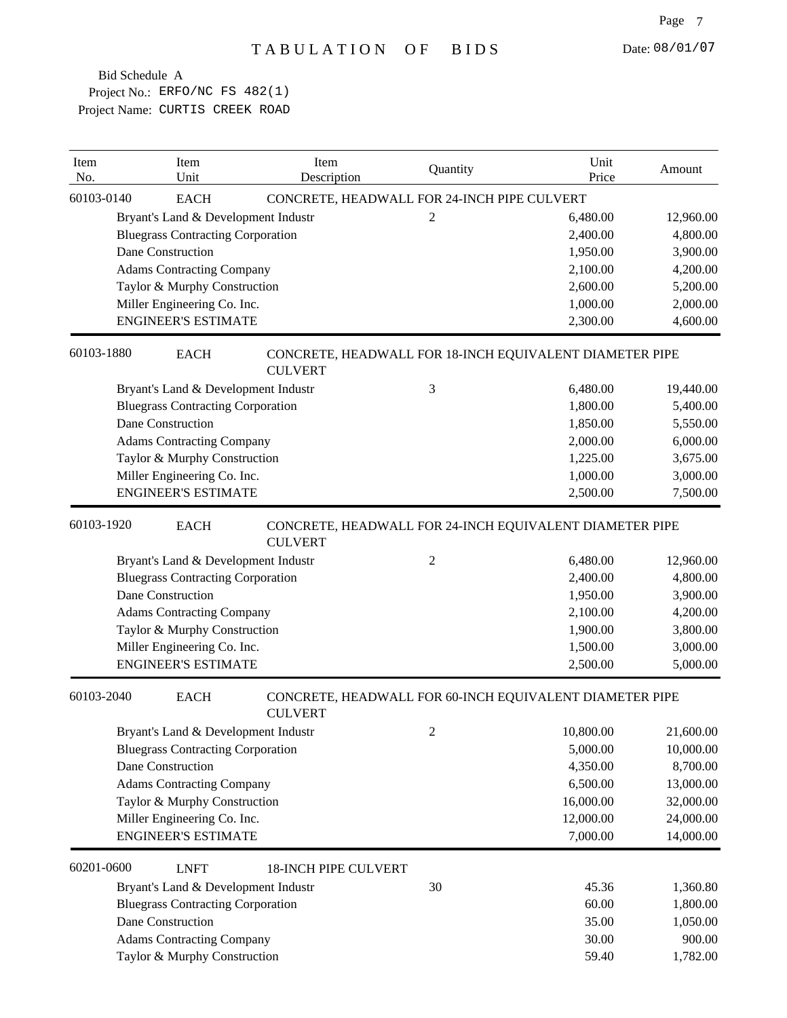| Item<br>No. | Item<br>Unit                             | Item<br>Description                                                       | Quantity       | Unit<br>Price | Amount    |
|-------------|------------------------------------------|---------------------------------------------------------------------------|----------------|---------------|-----------|
| 60103-0140  | <b>EACH</b>                              | CONCRETE, HEADWALL FOR 24-INCH PIPE CULVERT                               |                |               |           |
|             | Bryant's Land & Development Industr      |                                                                           | 2              | 6,480.00      | 12,960.00 |
|             | <b>Bluegrass Contracting Corporation</b> |                                                                           |                | 2,400.00      | 4,800.00  |
|             | Dane Construction                        |                                                                           |                | 1,950.00      | 3,900.00  |
|             | <b>Adams Contracting Company</b>         |                                                                           |                | 2,100.00      | 4,200.00  |
|             | Taylor & Murphy Construction             |                                                                           |                | 2,600.00      | 5,200.00  |
|             | Miller Engineering Co. Inc.              |                                                                           |                | 1,000.00      | 2,000.00  |
|             | <b>ENGINEER'S ESTIMATE</b>               |                                                                           |                | 2,300.00      | 4,600.00  |
| 60103-1880  | <b>EACH</b>                              | CONCRETE, HEADWALL FOR 18-INCH EQUIVALENT DIAMETER PIPE<br><b>CULVERT</b> |                |               |           |
|             | Bryant's Land & Development Industr      |                                                                           | 3              | 6,480.00      | 19,440.00 |
|             | <b>Bluegrass Contracting Corporation</b> |                                                                           |                | 1,800.00      | 5,400.00  |
|             | Dane Construction                        |                                                                           |                | 1,850.00      | 5,550.00  |
|             | <b>Adams Contracting Company</b>         |                                                                           |                | 2,000.00      | 6,000.00  |
|             | Taylor & Murphy Construction             |                                                                           |                | 1,225.00      | 3,675.00  |
|             | Miller Engineering Co. Inc.              |                                                                           |                | 1,000.00      | 3,000.00  |
|             | <b>ENGINEER'S ESTIMATE</b>               |                                                                           |                | 2,500.00      | 7,500.00  |
| 60103-1920  | <b>EACH</b>                              | CONCRETE, HEADWALL FOR 24-INCH EQUIVALENT DIAMETER PIPE<br><b>CULVERT</b> |                |               |           |
|             | Bryant's Land & Development Industr      |                                                                           | 2              | 6,480.00      | 12,960.00 |
|             | <b>Bluegrass Contracting Corporation</b> |                                                                           |                | 2,400.00      | 4,800.00  |
|             | Dane Construction                        |                                                                           |                | 1,950.00      | 3,900.00  |
|             | <b>Adams Contracting Company</b>         |                                                                           |                | 2,100.00      | 4,200.00  |
|             | Taylor & Murphy Construction             |                                                                           |                | 1,900.00      | 3,800.00  |
|             | Miller Engineering Co. Inc.              |                                                                           |                | 1,500.00      | 3,000.00  |
|             | <b>ENGINEER'S ESTIMATE</b>               |                                                                           |                | 2,500.00      | 5,000.00  |
| 60103-2040  | <b>EACH</b>                              | CONCRETE, HEADWALL FOR 60-INCH EQUIVALENT DIAMETER PIPE<br><b>CULVERT</b> |                |               |           |
|             | Bryant's Land & Development Industr      |                                                                           | $\overline{c}$ | 10,800.00     | 21,600.00 |
|             | <b>Bluegrass Contracting Corporation</b> |                                                                           |                | 5,000.00      | 10,000.00 |
|             | Dane Construction                        |                                                                           |                | 4,350.00      | 8,700.00  |
|             | <b>Adams Contracting Company</b>         |                                                                           |                | 6,500.00      | 13,000.00 |
|             | Taylor & Murphy Construction             |                                                                           |                | 16,000.00     | 32,000.00 |
|             | Miller Engineering Co. Inc.              |                                                                           |                | 12,000.00     | 24,000.00 |
|             | <b>ENGINEER'S ESTIMATE</b>               |                                                                           |                | 7,000.00      | 14,000.00 |
| 60201-0600  | <b>LNFT</b>                              | <b>18-INCH PIPE CULVERT</b>                                               |                |               |           |
|             | Bryant's Land & Development Industr      |                                                                           | 30             | 45.36         | 1,360.80  |
|             | <b>Bluegrass Contracting Corporation</b> |                                                                           |                | 60.00         | 1,800.00  |
|             | Dane Construction                        |                                                                           |                | 35.00         | 1,050.00  |
|             | <b>Adams Contracting Company</b>         |                                                                           |                | 30.00         | 900.00    |
|             | Taylor & Murphy Construction             |                                                                           |                | 59.40         | 1,782.00  |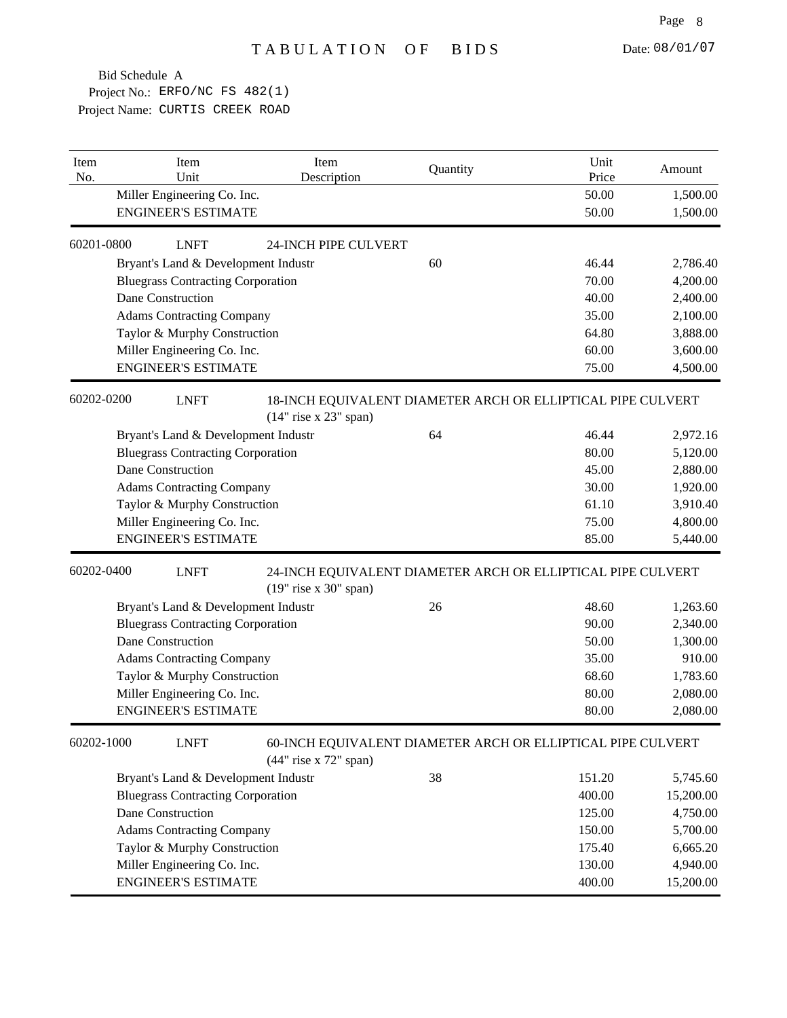| Item<br>No. | Item<br>Unit                             | Item<br>Description         | Quantity                                                    | Unit<br>Price | Amount    |
|-------------|------------------------------------------|-----------------------------|-------------------------------------------------------------|---------------|-----------|
|             | Miller Engineering Co. Inc.              |                             |                                                             | 50.00         | 1,500.00  |
|             | <b>ENGINEER'S ESTIMATE</b>               |                             |                                                             | 50.00         | 1,500.00  |
| 60201-0800  | <b>LNFT</b>                              | <b>24-INCH PIPE CULVERT</b> |                                                             |               |           |
|             | Bryant's Land & Development Industr      |                             | 60                                                          | 46.44         | 2,786.40  |
|             | <b>Bluegrass Contracting Corporation</b> |                             |                                                             | 70.00         | 4,200.00  |
|             | Dane Construction                        |                             |                                                             | 40.00         | 2,400.00  |
|             | <b>Adams Contracting Company</b>         |                             |                                                             | 35.00         | 2,100.00  |
|             | Taylor & Murphy Construction             |                             |                                                             | 64.80         | 3,888.00  |
|             | Miller Engineering Co. Inc.              |                             |                                                             | 60.00         | 3,600.00  |
|             | <b>ENGINEER'S ESTIMATE</b>               |                             |                                                             | 75.00         | 4,500.00  |
| 60202-0200  | <b>LNFT</b>                              | $(14"$ rise x 23" span)     | 18-INCH EQUIVALENT DIAMETER ARCH OR ELLIPTICAL PIPE CULVERT |               |           |
|             | Bryant's Land & Development Industr      |                             | 64                                                          | 46.44         | 2,972.16  |
|             | <b>Bluegrass Contracting Corporation</b> |                             |                                                             | 80.00         | 5,120.00  |
|             | Dane Construction                        |                             |                                                             | 45.00         | 2,880.00  |
|             | <b>Adams Contracting Company</b>         |                             |                                                             | 30.00         | 1,920.00  |
|             | Taylor & Murphy Construction             |                             |                                                             | 61.10         | 3,910.40  |
|             | Miller Engineering Co. Inc.              |                             |                                                             | 75.00         | 4,800.00  |
|             | <b>ENGINEER'S ESTIMATE</b>               |                             |                                                             | 85.00         | 5,440.00  |
| 60202-0400  | <b>LNFT</b>                              | $(19"$ rise x 30" span)     | 24-INCH EQUIVALENT DIAMETER ARCH OR ELLIPTICAL PIPE CULVERT |               |           |
|             | Bryant's Land & Development Industr      |                             | 26                                                          | 48.60         | 1,263.60  |
|             | <b>Bluegrass Contracting Corporation</b> |                             |                                                             | 90.00         | 2,340.00  |
|             | Dane Construction                        |                             |                                                             | 50.00         | 1,300.00  |
|             | <b>Adams Contracting Company</b>         |                             |                                                             | 35.00         | 910.00    |
|             | Taylor & Murphy Construction             |                             |                                                             | 68.60         | 1,783.60  |
|             | Miller Engineering Co. Inc.              |                             |                                                             | 80.00         | 2,080.00  |
|             | <b>ENGINEER'S ESTIMATE</b>               |                             |                                                             | 80.00         | 2,080.00  |
| 60202-1000  | <b>LNFT</b>                              | (44" rise x 72" span)       | 60-INCH EQUIVALENT DIAMETER ARCH OR ELLIPTICAL PIPE CULVERT |               |           |
|             | Bryant's Land & Development Industr      |                             | 38                                                          | 151.20        | 5,745.60  |
|             | <b>Bluegrass Contracting Corporation</b> |                             |                                                             | 400.00        | 15,200.00 |
|             | Dane Construction                        |                             |                                                             | 125.00        | 4,750.00  |
|             | <b>Adams Contracting Company</b>         |                             |                                                             | 150.00        | 5,700.00  |
|             |                                          |                             |                                                             |               |           |
|             | Taylor & Murphy Construction             |                             |                                                             | 175.40        | 6,665.20  |
|             | Miller Engineering Co. Inc.              |                             |                                                             | 130.00        | 4,940.00  |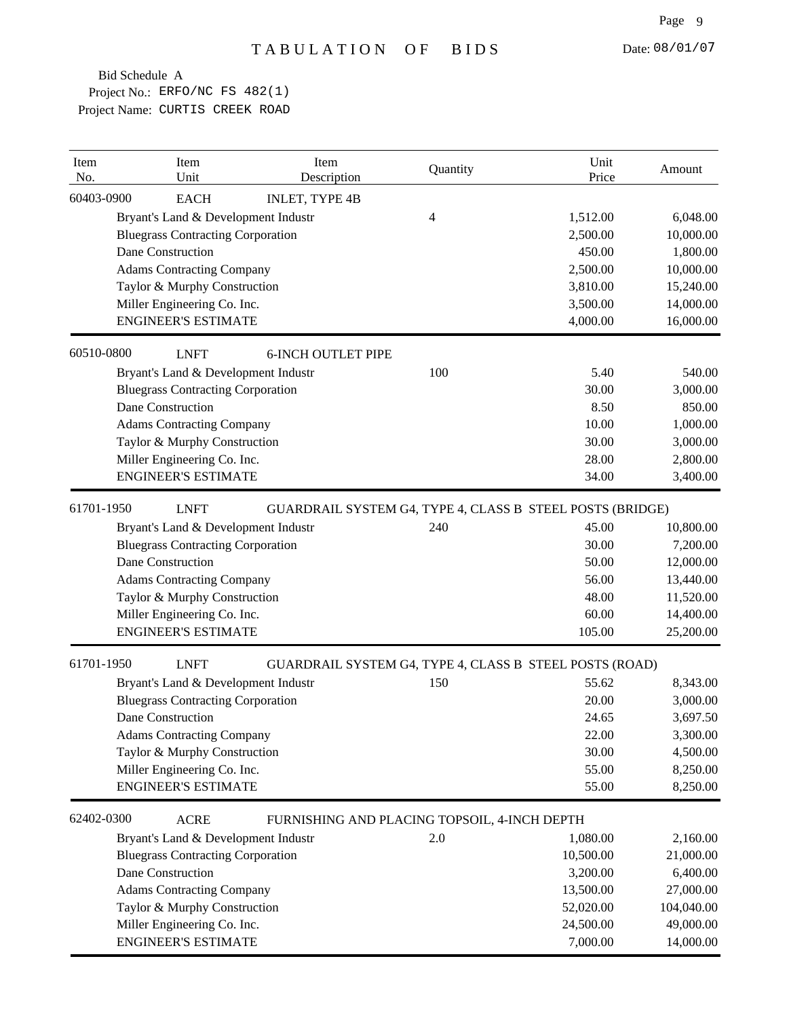| Item<br>No. | Item<br>Unit                             | Item<br>Description                                       | Quantity | Unit<br>Price | Amount     |
|-------------|------------------------------------------|-----------------------------------------------------------|----------|---------------|------------|
| 60403-0900  | <b>EACH</b>                              | <b>INLET, TYPE 4B</b>                                     |          |               |            |
|             | Bryant's Land & Development Industr      |                                                           | 4        | 1,512.00      | 6,048.00   |
|             | <b>Bluegrass Contracting Corporation</b> |                                                           |          | 2,500.00      | 10,000.00  |
|             | Dane Construction                        |                                                           |          | 450.00        | 1,800.00   |
|             | <b>Adams Contracting Company</b>         |                                                           |          | 2,500.00      | 10,000.00  |
|             | Taylor & Murphy Construction             |                                                           |          | 3,810.00      | 15,240.00  |
|             | Miller Engineering Co. Inc.              |                                                           |          | 3,500.00      | 14,000.00  |
|             | <b>ENGINEER'S ESTIMATE</b>               |                                                           |          | 4,000.00      | 16,000.00  |
| 60510-0800  | <b>LNFT</b>                              | <b>6-INCH OUTLET PIPE</b>                                 |          |               |            |
|             | Bryant's Land & Development Industr      |                                                           | 100      | 5.40          | 540.00     |
|             | <b>Bluegrass Contracting Corporation</b> |                                                           |          | 30.00         | 3,000.00   |
|             | Dane Construction                        |                                                           |          | 8.50          | 850.00     |
|             | <b>Adams Contracting Company</b>         |                                                           |          | 10.00         | 1,000.00   |
|             | Taylor & Murphy Construction             |                                                           |          | 30.00         | 3,000.00   |
|             | Miller Engineering Co. Inc.              |                                                           |          | 28.00         | 2,800.00   |
|             | <b>ENGINEER'S ESTIMATE</b>               |                                                           |          | 34.00         | 3,400.00   |
| 61701-1950  | <b>LNFT</b>                              | GUARDRAIL SYSTEM G4, TYPE 4, CLASS B STEEL POSTS (BRIDGE) |          |               |            |
|             | Bryant's Land & Development Industr      |                                                           | 240      | 45.00         | 10,800.00  |
|             | <b>Bluegrass Contracting Corporation</b> |                                                           |          | 30.00         | 7,200.00   |
|             | Dane Construction                        |                                                           |          | 50.00         | 12,000.00  |
|             | <b>Adams Contracting Company</b>         |                                                           |          | 56.00         | 13,440.00  |
|             | Taylor & Murphy Construction             |                                                           |          | 48.00         | 11,520.00  |
|             | Miller Engineering Co. Inc.              |                                                           |          | 60.00         | 14,400.00  |
|             | <b>ENGINEER'S ESTIMATE</b>               |                                                           |          | 105.00        | 25,200.00  |
| 61701-1950  | <b>LNFT</b>                              | GUARDRAIL SYSTEM G4, TYPE 4, CLASS B STEEL POSTS (ROAD)   |          |               |            |
|             | Bryant's Land & Development Industr      |                                                           | 150      | 55.62         | 8,343.00   |
|             | <b>Bluegrass Contracting Corporation</b> |                                                           |          | 20.00         | 3,000.00   |
|             | Dane Construction                        |                                                           |          | 24.65         | 3,697.50   |
|             | <b>Adams Contracting Company</b>         |                                                           |          | 22.00         | 3,300.00   |
|             | Taylor & Murphy Construction             |                                                           |          | 30.00         | 4,500.00   |
|             | Miller Engineering Co. Inc.              |                                                           |          | 55.00         | 8,250.00   |
|             | <b>ENGINEER'S ESTIMATE</b>               |                                                           |          | 55.00         | 8,250.00   |
| 62402-0300  | <b>ACRE</b>                              | FURNISHING AND PLACING TOPSOIL, 4-INCH DEPTH              |          |               |            |
|             | Bryant's Land & Development Industr      |                                                           | 2.0      | 1,080.00      | 2,160.00   |
|             | <b>Bluegrass Contracting Corporation</b> |                                                           |          | 10,500.00     | 21,000.00  |
|             | Dane Construction                        |                                                           |          | 3,200.00      | 6,400.00   |
|             | <b>Adams Contracting Company</b>         |                                                           |          | 13,500.00     | 27,000.00  |
|             | Taylor & Murphy Construction             |                                                           |          | 52,020.00     | 104,040.00 |
|             | Miller Engineering Co. Inc.              |                                                           |          | 24,500.00     | 49,000.00  |
|             | <b>ENGINEER'S ESTIMATE</b>               |                                                           |          | 7,000.00      | 14,000.00  |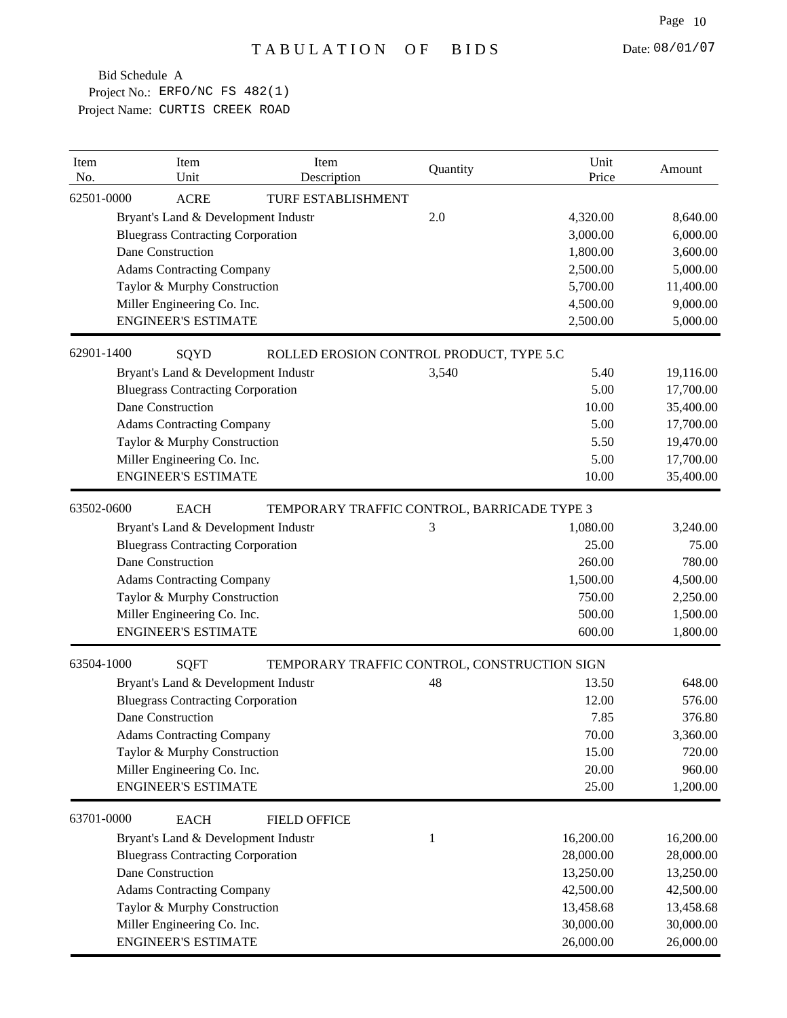| Item<br>No. | Item<br>Unit                             | Item<br>Description                          | Quantity | Unit<br>Price | Amount    |
|-------------|------------------------------------------|----------------------------------------------|----------|---------------|-----------|
| 62501-0000  | <b>ACRE</b>                              | TURF ESTABLISHMENT                           |          |               |           |
|             | Bryant's Land & Development Industr      |                                              | 2.0      | 4,320.00      | 8,640.00  |
|             | <b>Bluegrass Contracting Corporation</b> |                                              |          | 3,000.00      | 6,000.00  |
|             | Dane Construction                        |                                              |          | 1,800.00      | 3,600.00  |
|             | <b>Adams Contracting Company</b>         |                                              |          | 2,500.00      | 5,000.00  |
|             | Taylor & Murphy Construction             |                                              |          | 5,700.00      | 11,400.00 |
|             | Miller Engineering Co. Inc.              |                                              |          | 4,500.00      | 9,000.00  |
|             | <b>ENGINEER'S ESTIMATE</b>               |                                              |          | 2,500.00      | 5,000.00  |
| 62901-1400  | SQYD                                     | ROLLED EROSION CONTROL PRODUCT, TYPE 5.C     |          |               |           |
|             | Bryant's Land & Development Industr      |                                              | 3,540    | 5.40          | 19,116.00 |
|             | <b>Bluegrass Contracting Corporation</b> |                                              |          | 5.00          | 17,700.00 |
|             | Dane Construction                        |                                              |          | 10.00         | 35,400.00 |
|             | <b>Adams Contracting Company</b>         |                                              |          | 5.00          | 17,700.00 |
|             | Taylor & Murphy Construction             |                                              |          | 5.50          | 19,470.00 |
|             | Miller Engineering Co. Inc.              |                                              |          | 5.00          | 17,700.00 |
|             | <b>ENGINEER'S ESTIMATE</b>               |                                              |          | 10.00         | 35,400.00 |
| 63502-0600  | <b>EACH</b>                              | TEMPORARY TRAFFIC CONTROL, BARRICADE TYPE 3  |          |               |           |
|             | Bryant's Land & Development Industr      |                                              | 3        | 1,080.00      | 3,240.00  |
|             | <b>Bluegrass Contracting Corporation</b> |                                              |          | 25.00         | 75.00     |
|             | Dane Construction                        |                                              |          | 260.00        | 780.00    |
|             | <b>Adams Contracting Company</b>         |                                              |          | 1,500.00      | 4,500.00  |
|             | Taylor & Murphy Construction             |                                              |          | 750.00        | 2,250.00  |
|             | Miller Engineering Co. Inc.              |                                              |          | 500.00        | 1,500.00  |
|             | <b>ENGINEER'S ESTIMATE</b>               |                                              |          | 600.00        | 1,800.00  |
| 63504-1000  | <b>SQFT</b>                              | TEMPORARY TRAFFIC CONTROL, CONSTRUCTION SIGN |          |               |           |
|             | Bryant's Land & Development Industr      |                                              | 48       | 13.50         | 648.00    |
|             | <b>Bluegrass Contracting Corporation</b> |                                              |          | 12.00         | 576.00    |
|             | Dane Construction                        |                                              |          | 7.85          | 376.80    |
|             | <b>Adams Contracting Company</b>         |                                              |          | 70.00         | 3,360.00  |
|             | Taylor & Murphy Construction             |                                              |          | 15.00         | 720.00    |
|             | Miller Engineering Co. Inc.              |                                              |          | 20.00         | 960.00    |
|             | <b>ENGINEER'S ESTIMATE</b>               |                                              |          | 25.00         | 1,200.00  |
| 63701-0000  | <b>EACH</b>                              | <b>FIELD OFFICE</b>                          |          |               |           |
|             | Bryant's Land & Development Industr      |                                              | 1        | 16,200.00     | 16,200.00 |
|             | <b>Bluegrass Contracting Corporation</b> |                                              |          | 28,000.00     | 28,000.00 |
|             | Dane Construction                        |                                              |          | 13,250.00     | 13,250.00 |
|             | <b>Adams Contracting Company</b>         |                                              |          | 42,500.00     | 42,500.00 |
|             | Taylor & Murphy Construction             |                                              |          | 13,458.68     | 13,458.68 |
|             | Miller Engineering Co. Inc.              |                                              |          | 30,000.00     | 30,000.00 |
|             | <b>ENGINEER'S ESTIMATE</b>               |                                              |          | 26,000.00     | 26,000.00 |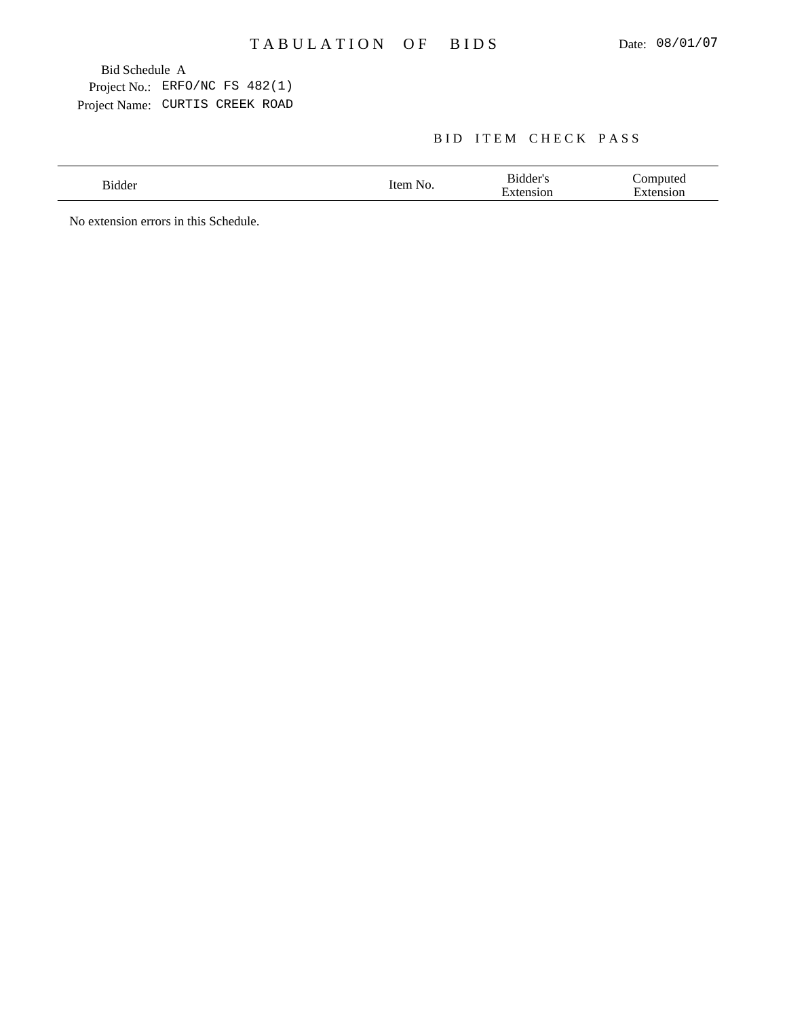## BID ITEM CHECK PASS

| N7 | --<br>٦e<br>$\overline{\phantom{0}}$ |  |
|----|--------------------------------------|--|
|    |                                      |  |

No extension errors in this Schedule.